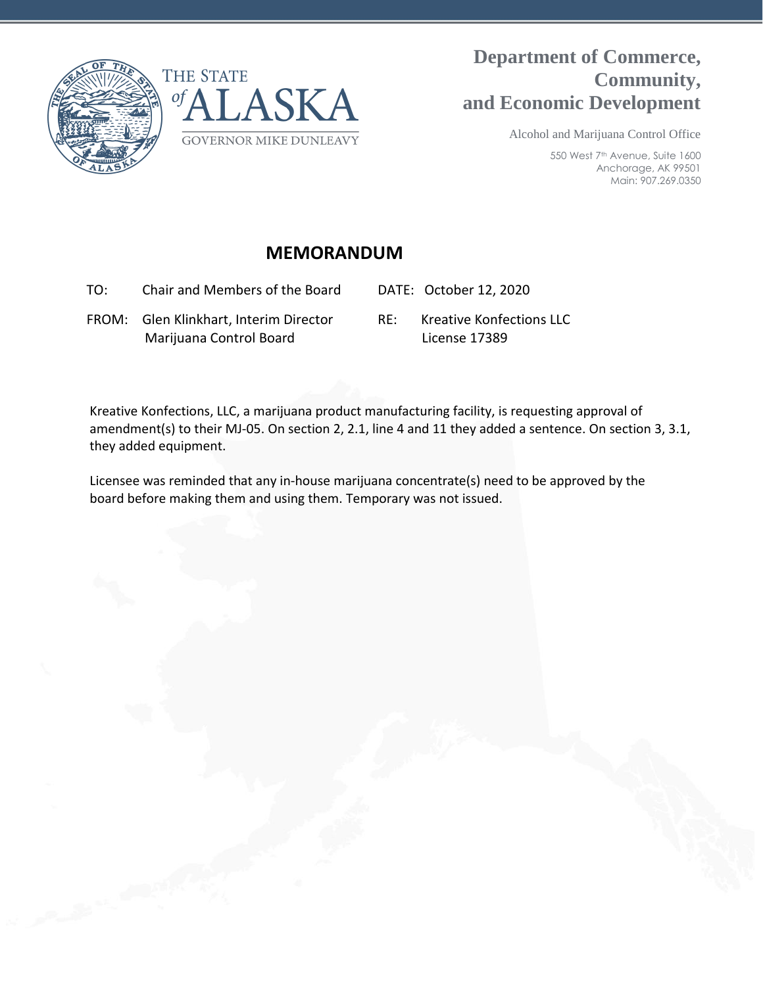



## **Department of Commerce, Community, and Economic Development**

Alcohol and Marijuana Control Office

550 West 7<sup>th</sup> Avenue, Suite 1600 Anchorage, AK 99501 Main: 907.269.0350

## **MEMORANDUM**

TO: Chair and Members of the Board DATE: October 12, 2020

 FROM: Glen Klinkhart, Interim Director Marijuana Control Board

RE: Kreative Konfections LLC License 17389

Kreative Konfections, LLC, a marijuana product manufacturing facility, is requesting approval of amendment(s) to their MJ-05. On section 2, 2.1, line 4 and 11 they added a sentence. On section 3, 3.1, they added equipment.

Licensee was reminded that any in-house marijuana concentrate(s) need to be approved by the board before making them and using them. Temporary was not issued.